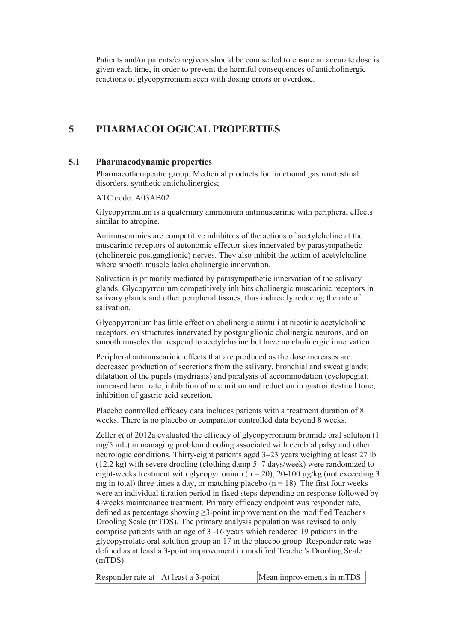Patients and/or parents/caregivers should be counselled to ensure an accurate dose is given each time, in order to prevent the harmful consequences of anticholinergic reactions of glycopyrronium seen with dosing errors or overdose.

## **5 PHARMACOLOGICAL PROPERTIES**

#### **5.1 Pharmacodynamic properties**

Pharmacotherapeutic group: Medicinal products for functional gastrointestinal disorders, synthetic anticholinergics;

ATC code: A03AB02

Glycopyrronium is a quaternary ammonium antimuscarinic with peripheral effects similar to atropine.

Antimuscarinics are competitive inhibitors of the actions of acetylcholine at the muscarinic receptors of autonomic effector sites innervated by parasympathetic (cholinergic postganglionic) nerves. They also inhibit the action of acetylcholine where smooth muscle lacks cholinergic innervation.

Salivation is primarily mediated by parasympathetic innervation of the salivary glands. Glycopyrronium competitively inhibits cholinergic muscarinic receptors in salivary glands and other peripheral tissues, thus indirectly reducing the rate of salivation.

Glycopyrronium has little effect on cholinergic stimuli at nicotinic acetylcholine receptors, on structures innervated by postganglionic cholinergic neurons, and on smooth muscles that respond to acetylcholine but have no cholinergic innervation.

Peripheral antimuscarinic effects that are produced as the dose increases are: decreased production of secretions from the salivary, bronchial and sweat glands; dilatation of the pupils (mydriasis) and paralysis of accommodation (cyclopegia); increased heart rate; inhibition of micturition and reduction in gastrointestinal tone; inhibition of gastric acid secretion.

Placebo controlled efficacy data includes patients with a treatment duration of 8 weeks. There is no placebo or comparator controlled data beyond 8 weeks.

Zeller *et al* 2012a evaluated the efficacy of glycopyrronium bromide oral solution (1 mg/5 mL) in managing problem drooling associated with cerebral palsy and other neurologic conditions. Thirty-eight patients aged 3–23 years weighing at least 27 lb (12.2 kg) with severe drooling (clothing damp 5–7 days/week) were randomized to eight-weeks treatment with glycopyrronium ( $n = 20$ ), 20-100  $\mu$ g/kg (not exceeding 3 mg in total) three times a day, or matching placebo ( $n = 18$ ). The first four weeks were an individual titration period in fixed steps depending on response followed by 4-weeks maintenance treatment. Primary efficacy endpoint was responder rate, defined as percentage showing  $\geq$ 3-point improvement on the modified Teacher's Drooling Scale (mTDS). The primary analysis population was revised to only comprise patients with an age of 3 -16 years which rendered 19 patients in the glycopyrrolate oral solution group an 17 in the placebo group. Responder rate was defined as at least a 3-point improvement in modified Teacher's Drooling Scale (mTDS).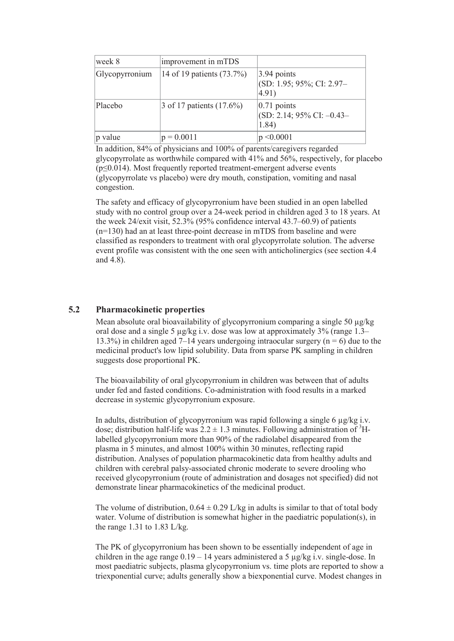| week 8         | improvement in mTDS         |                                                                        |
|----------------|-----------------------------|------------------------------------------------------------------------|
| Glycopyrronium | 14 of 19 patients (73.7%)   | $ 3.94$ points<br>(SD: 1.95; 95%; CI: 2.97-<br>(4.91)                  |
| Placebo        | 3 of 17 patients $(17.6\%)$ | $ 0.71$ points<br>$\left( SD: 2.14: 95\% CI: -0.43 - \right)$<br>1.84) |
| p value        | $p = 0.0011$                | $\leq 0.0001$                                                          |

In addition, 84% of physicians and 100% of parents/caregivers regarded glycopyrrolate as worthwhile compared with 41% and 56%, respectively, for placebo  $(p \le 0.014)$ . Most frequently reported treatment-emergent adverse events (glycopyrrolate vs placebo) were dry mouth, constipation, vomiting and nasal congestion.

The safety and efficacy of glycopyrronium have been studied in an open labelled study with no control group over a 24-week period in children aged 3 to 18 years. At the week 24/exit visit, 52.3% (95% confidence interval 43.7–60.9) of patients (n=130) had an at least three-point decrease in mTDS from baseline and were classified as responders to treatment with oral glycopyrrolate solution. The adverse event profile was consistent with the one seen with anticholinergics (see section 4.4 and 4.8).

#### **5.2 Pharmacokinetic properties**

Mean absolute oral bioavailability of glycopyrronium comparing a single 50 μg/kg oral dose and a single 5 μg/kg i.v. dose was low at approximately 3% (range 1.3– 13.3%) in children aged 7–14 years undergoing intraocular surgery ( $n = 6$ ) due to the medicinal product's low lipid solubility. Data from sparse PK sampling in children suggests dose proportional PK.

The bioavailability of oral glycopyrronium in children was between that of adults under fed and fasted conditions. Co-administration with food results in a marked decrease in systemic glycopyrronium exposure.

In adults, distribution of glycopyrronium was rapid following a single 6 μg/kg i.v. dose; distribution half-life was  $2.2 \pm 1.3$  minutes. Following administration of <sup>3</sup>Hlabelled glycopyrronium more than 90% of the radiolabel disappeared from the plasma in 5 minutes, and almost 100% within 30 minutes, reflecting rapid distribution. Analyses of population pharmacokinetic data from healthy adults and children with cerebral palsy-associated chronic moderate to severe drooling who received glycopyrronium (route of administration and dosages not specified) did not demonstrate linear pharmacokinetics of the medicinal product.

The volume of distribution,  $0.64 \pm 0.29$  L/kg in adults is similar to that of total body water. Volume of distribution is somewhat higher in the paediatric population(s), in the range 1.31 to 1.83 L/kg.

The PK of glycopyrronium has been shown to be essentially independent of age in children in the age range  $0.19 - 14$  years administered a 5  $\mu$ g/kg i.v. single-dose. In most paediatric subjects, plasma glycopyrronium vs. time plots are reported to show a triexponential curve; adults generally show a biexponential curve. Modest changes in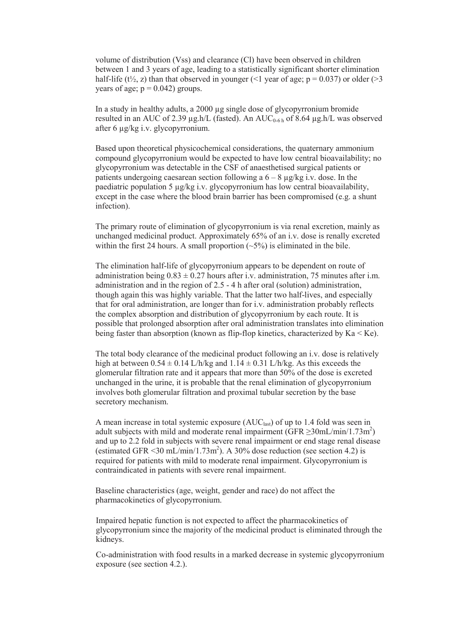volume of distribution (Vss) and clearance (Cl) have been observed in children between 1 and 3 years of age, leading to a statistically significant shorter elimination half-life (t<sup>1</sup>/<sub>2</sub>, z) than that observed in younger (<1 year of age;  $p = 0.037$ ) or older (>3 years of age;  $p = 0.042$ ) groups.

In a study in healthy adults, a 2000 μg single dose of glycopyrronium bromide resulted in an AUC of 2.39  $\mu$ g.h/L (fasted). An AUC<sub>0-6h</sub> of 8.64  $\mu$ g.h/L was observed after 6 μg/kg i.v. glycopyrronium.

Based upon theoretical physicochemical considerations, the quaternary ammonium compound glycopyrronium would be expected to have low central bioavailability; no glycopyrronium was detectable in the CSF of anaesthetised surgical patients or patients undergoing caesarean section following a  $6 - 8 \mu$ g/kg i.v. dose. In the paediatric population 5 μg/kg i.v. glycopyrronium has low central bioavailability, except in the case where the blood brain barrier has been compromised (e.g. a shunt infection).

The primary route of elimination of glycopyrronium is via renal excretion, mainly as unchanged medicinal product. Approximately 65% of an i.v. dose is renally excreted within the first 24 hours. A small proportion  $(-5\%)$  is eliminated in the bile.

The elimination half-life of glycopyrronium appears to be dependent on route of administration being  $0.83 \pm 0.27$  hours after i.v. administration, 75 minutes after i.m. administration and in the region of 2.5 - 4 h after oral (solution) administration, though again this was highly variable. That the latter two half-lives, and especially that for oral administration, are longer than for i.v. administration probably reflects the complex absorption and distribution of glycopyrronium by each route. It is possible that prolonged absorption after oral administration translates into elimination being faster than absorption (known as flip-flop kinetics, characterized by  $Ka < Ke$ ).

The total body clearance of the medicinal product following an i.v. dose is relatively high at between  $0.54 \pm 0.14$  L/h/kg and  $1.14 \pm 0.31$  L/h/kg. As this exceeds the glomerular filtration rate and it appears that more than 50% of the dose is excreted unchanged in the urine, it is probable that the renal elimination of glycopyrronium involves both glomerular filtration and proximal tubular secretion by the base secretory mechanism.

A mean increase in total systemic exposure  $(AUC<sub>last</sub>)$  of up to 1.4 fold was seen in adult subjects with mild and moderate renal impairment (GFR  $\geq$ 30mL/min/1.73m<sup>2</sup>) and up to 2.2 fold in subjects with severe renal impairment or end stage renal disease (estimated GFR < 30 mL/min/1.73m<sup>2</sup>). A 30% dose reduction (see section 4.2) is required for patients with mild to moderate renal impairment. Glycopyrronium is contraindicated in patients with severe renal impairment.

Baseline characteristics (age, weight, gender and race) do not affect the pharmacokinetics of glycopyrronium.

Impaired hepatic function is not expected to affect the pharmacokinetics of glycopyrronium since the majority of the medicinal product is eliminated through the kidneys.

Co-administration with food results in a marked decrease in systemic glycopyrronium exposure (see section 4.2.).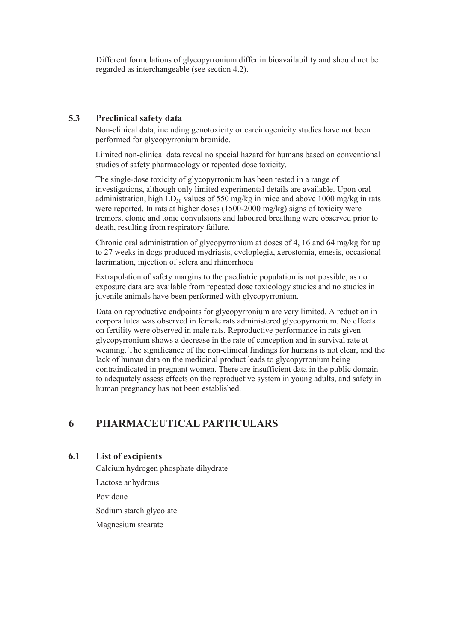Different formulations of glycopyrronium differ in bioavailability and should not be regarded as interchangeable (see section 4.2).

#### **5.3 Preclinical safety data**

Non-clinical data, including genotoxicity or carcinogenicity studies have not been performed for glycopyrronium bromide.

Limited non-clinical data reveal no special hazard for humans based on conventional studies of safety pharmacology or repeated dose toxicity.

The single-dose toxicity of glycopyrronium has been tested in a range of investigations, although only limited experimental details are available. Upon oral administration, high  $LD_{50}$  values of 550 mg/kg in mice and above 1000 mg/kg in rats were reported. In rats at higher doses (1500-2000 mg/kg) signs of toxicity were tremors, clonic and tonic convulsions and laboured breathing were observed prior to death, resulting from respiratory failure.

Chronic oral administration of glycopyrronium at doses of 4, 16 and 64 mg/kg for up to 27 weeks in dogs produced mydriasis, cycloplegia, xerostomia, emesis, occasional lacrimation, injection of sclera and rhinorrhoea

Extrapolation of safety margins to the paediatric population is not possible, as no exposure data are available from repeated dose toxicology studies and no studies in juvenile animals have been performed with glycopyrronium.

Data on reproductive endpoints for glycopyrronium are very limited. A reduction in corpora lutea was observed in female rats administered glycopyrronium. No effects on fertility were observed in male rats. Reproductive performance in rats given glycopyrronium shows a decrease in the rate of conception and in survival rate at weaning. The significance of the non-clinical findings for humans is not clear, and the lack of human data on the medicinal product leads to glycopyrronium being contraindicated in pregnant women. There are insufficient data in the public domain to adequately assess effects on the reproductive system in young adults, and safety in human pregnancy has not been established.

### **6 PHARMACEUTICAL PARTICULARS**

### **6.1 List of excipients**

Calcium hydrogen phosphate dihydrate

Lactose anhydrous

Povidone

Sodium starch glycolate

Magnesium stearate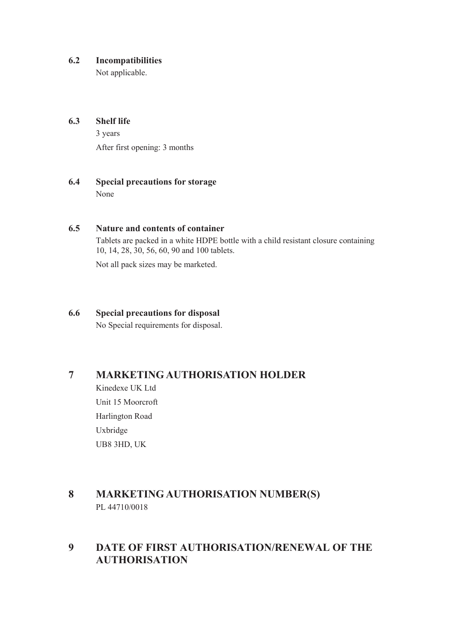#### **6.2 Incompatibilities**

Not applicable.

### **6.3 Shelf life**

3 years

After first opening: 3 months

### **6.4 Special precautions for storage** None

### **6.5 Nature and contents of container**

Tablets are packed in a white HDPE bottle with a child resistant closure containing 10, 14, 28, 30, 56, 60, 90 and 100 tablets.

Not all pack sizes may be marketed.

### **6.6 Special precautions for disposal**

No Special requirements for disposal.

## **7 MARKETING AUTHORISATION HOLDER**

Kinedexe UK Ltd Unit 15 Moorcroft Harlington Road Uxbridge UB8 3HD, UK

## **8 MARKETING AUTHORISATION NUMBER(S)** PL 44710/0018

## **9 DATE OF FIRST AUTHORISATION/RENEWAL OF THE AUTHORISATION**